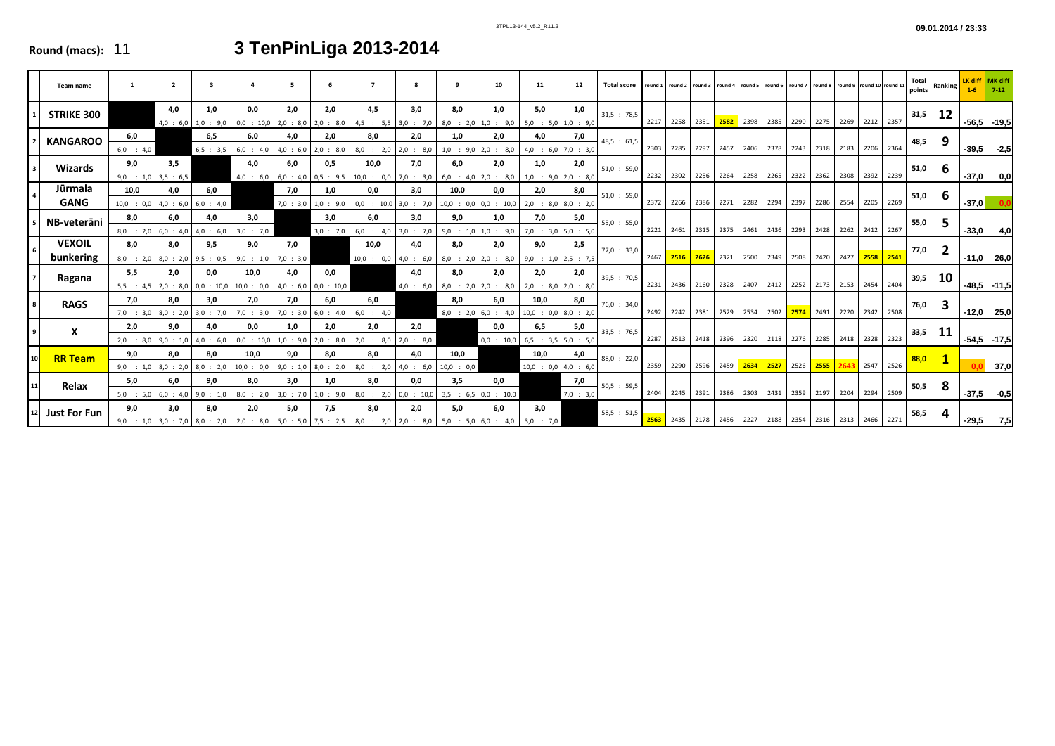# **Round (macs):** 11 **3 TenPinLiga 2013-2014**

|    | Team name                  |                                        | $\overline{2}$   |                                        | $\mathbf{a}$         | 5                |                              | $\overline{7}$                                                                                                                         |                    | 9                    | 10                                                         | 11                                      | 12               | <b>Total score</b> | round 1        | round 2 round 3 |      |      | round 4 round 5 | round 6   round 7   round 8   round 9   round 10   round 11 |           |      |                          | Total<br>points | <b>Ranking</b> | $1-6$   | $7 - 12$        |
|----|----------------------------|----------------------------------------|------------------|----------------------------------------|----------------------|------------------|------------------------------|----------------------------------------------------------------------------------------------------------------------------------------|--------------------|----------------------|------------------------------------------------------------|-----------------------------------------|------------------|--------------------|----------------|-----------------|------|------|-----------------|-------------------------------------------------------------|-----------|------|--------------------------|-----------------|----------------|---------|-----------------|
|    | <b>STRIKE 300</b>          |                                        | 4,0              | 1,0<br>$4,0$ : 6,0 1,0 : 9,0           | 0,0<br>$0,0$ : 10,0  | 2,0<br>2,0 : 8,0 | 2,0<br>2,0 : 8,0             | 4,5<br>$4,5$ : 5,5 3,0 : 7,0 8,0 : 2,0 1,0 : 9,0 5,0 : 5,0 1,0 : 9,0                                                                   | 3,0                | 8,0                  | 1,0                                                        | 5,0                                     | 1,0              | 31,5 : 78,5        | 2217 2258 2351 |                 |      |      |                 | 2582 2398 2385                                              |           |      | 2290 2275 2269 2212 2357 | 31,5            | 12             |         | $-56,5$ $-19,5$ |
|    | <b>KANGAROO</b>            | 6,0<br>$6,0$ : 4,0                     |                  | 6,5<br>6,5 : 3,5                       | 6,0<br>$6,0$ : 4,0   | 4,0<br>4,0:6,0   | 2,0<br>2,0 : 8,0             | 8,0<br>$8,0$ : 2,0 2,0 : 8,0                                                                                                           | 2,0                | 1,0                  | 2,0<br>$1,0$ : 9,0 2,0 : 8,0                               | 4,0<br>$4,0$ : 6,0 7,0 : 3,0            | 7,0              | 48,5 : 61,5        |                | 2303 2285       | 2297 |      |                 | 2457 2406 2378 2243 2318                                    |           |      | 2183 2206 2364           | 48,5            |                |         | $-39,5 -2,5$    |
|    | Wizards                    | 9,0<br>$9,0$ : 1,0 3,5 : 6,5           | 3,5              |                                        | 4,0<br>$4,0$ : 6,0   | 6,0              | 0,5                          | 10,0<br>$\begin{bmatrix} 6.0 & 4.0 & 0.5 & 9.5 & 10.0 & 0.0 & 7.0 & 3.0 & 6.0 & 4.0 & 2.0 & 8.0 & 1.0 & 9.0 & 2.0 & 8.0 \end{bmatrix}$ | 7,0                | 6,0                  | 2,0                                                        | 1,0                                     | 2,0              | 51,0 : 59,0        | 2232 2302 2256 |                 |      |      |                 | 2264 2258 2265 2322 2362 2308 2392 2239                     |           |      |                          | 51,0            |                |         | $-37,0$ 0,0     |
|    | Jūrmala<br><b>GANG</b>     | 10,0<br>$10,0$ : $0,0$                 | 4.0<br>4,0 : 6,0 | 6,0<br>6.0 : 4.0                       |                      | 7,0              | 1.0<br>$7,0$ : 3,0 1,0 : 9,0 | 0,0<br>$0,0$ : 10,0 3,0 : 7,0 10,0 : 0,0 0,0 : 10,0 2,0 : 8,0 8,0 : 2,0                                                                | 3,0                | 10,0                 | 0,0                                                        | 2,0                                     | 8,0              | 51,0 : 59,0        | 2372 2266 2386 |                 |      |      |                 | 2271 2282 2294                                              | 2397 2286 |      | 2554 2205 2269           | 51,0            |                | $-37,0$ | 0,0             |
|    | NB-veterāni                | 8,0<br>$8,0$ : 2,0 6,0 : 4,0           | 6,0              | 4,0<br>4.0 : 6.0                       | 3,0<br>$3,0$ : 7,0   |                  | 3,0<br>3,0 : 7,0             | 6,0<br>$6,0$ : 4,0                                                                                                                     | 3,0                | 9,0                  | 1,0<br>$3,0$ : 7,0 9,0 : 1,0 1,0 : 9,0 7,0 : 3,0 5,0 : 5,0 | 7,0                                     | 5,0              | 55,0 : 55,0        | 2221 2461 2315 |                 |      |      |                 | 2375 2461 2436 2293 2428 2262 2412 2267                     |           |      |                          | 55,0            |                | $-33,0$ | 4,0             |
|    | <b>VEXOIL</b><br>bunkering | 8,0<br>$8,0$ : 2,0 $8,0$ : 2,0         | 8,0              | 9,5<br>9.5 : 0.5                       | 9,0<br>9,0 : 1,0     | 7,0<br>7,0 : 3,0 |                              | 10,0<br>$10,0$ : $0,0$ 4,0 : 6,0                                                                                                       | 4,0                | 8,0                  | 2,0<br>$8,0$ : 2,0 2,0 : 8,0 9,0 : 1,0 2,5 : 7,5           | 9,0                                     | 2,5              | 77,0 : 33,0        | 2467 2516 2626 |                 |      |      | 2321 2500       | 2349 2508 2420 2427 2558 2541                               |           |      |                          | 77,0            |                |         | $-11,0$ 26,0    |
|    | Ragana                     | 5,5<br>$5,5$ : $4,5$ 2.0 : $8,0$       | 2,0              | 0.0<br>$0,0$ : 10,0                    | 10,0<br>$10,0$ : 0,0 | 4,0<br>4.0 : 6.0 | 0,0<br>$0,0$ : 10,0          |                                                                                                                                        | 4,0                | 8,0                  | 2,0<br>$4.0 : 6.0$ 8.0 : 2.0 2.0 : 8.0 2.0 : 8.0 2.0 : 8.0 | 2,0                                     | 2,0              | 39,5 : 70,5        |                |                 |      |      |                 | 2231 2436 2160 2328 2407 2412 2252 2173 2153 2454 2404      |           |      |                          | 39,5            | -10            |         | $-48,5$ $-11,5$ |
|    | <b>RAGS</b>                | 7,0<br>$7,0$ : 3,0 8,0 : 2,0 3,0 : 7,0 | 8,0              | 3,0                                    | 7,0<br>$7,0$ : 3,0   | 7,0              | 6,0<br>$7,0$ : 3,0 6,0 : 4,0 | 6,0<br>$6,0$ : 4,0                                                                                                                     |                    | 8,0                  | 6,0<br>8,0 : 2,0 6,0 : 4,0 10,0 : 0,0 8,0 : 2,0            | 10,0                                    | 8,0              | 76,0 : 34,0        | 2492 2242 2381 |                 |      |      |                 | 2529 2534 2502                                              |           |      | 2574 2491 2220 2342 2508 | 76,0            |                |         | $-12,0$ 25,0    |
|    | X                          | 2,0<br>$2,0$ : 8,0 9,0 : 1,0           | 9,0              | 4,0<br>$4,0$ : 6,0                     | 0,0<br>$0,0$ : 10,0  | 1,0              | 2,0<br>$1,0$ : 9,0 2,0 : 8,0 | 2,0<br>$2,0$ : 8,0                                                                                                                     | 2,0<br>2,0 : 8,0   |                      | 0,0                                                        | 6,5<br>$0,0$ : 10,0 6,5 : 3,5 5,0 : 5,0 | 5,0              | 33,5 : 76,5        | 2287 2513 2418 |                 |      | 2396 |                 | 2320 2118 2276                                              |           | 2285 | 2418 2328 2323           | 33,5            | -11            |         | $-54,5 -17,5$   |
| 10 | <b>RR Team</b>             | 9,0<br>$9,0$ : 1,0 8,0 : 2,0           | 8,0              | 8,0<br>8,0 : 2,0                       | 10,0<br>$10,0$ : 0,0 | 9,0<br>9,0 : 1,0 | 8,0<br>$8,0$ : 2,0           | 8,0<br>$8,0$ : 2,0                                                                                                                     | 4,0<br>$4,0$ : 6,0 | 10,0<br>$10,0$ : 0,0 |                                                            | 10,0<br>$10,0$ : $0,0$ 4,0 : 6,0        | 4,0              | 88,0 : 22,0        | 2359 2290 2596 |                 |      |      |                 | 2459 2634 2527 2526 2555 2643 2547 2526                     |           |      |                          | 88,0            |                |         | 37,0            |
|    | Relax                      | 5,0<br>$5,0$ : $5,0$ 6,0 : 4,0         | 6,0              | 9,0<br>9.0 : 1.0                       | 8,0<br>$8,0$ : 2,0   | 3,0              | 1,0<br>$3,0$ : 7,0 1,0 : 9,0 | 8,0<br>8.0 : 2.0 0.0 : 10.0                                                                                                            | 0,0                | 3,5                  | 0,0<br>3.5 : 6.5 0.0 : 10.0                                |                                         | 7,0<br>7,0 : 3,0 | 50,5 : 59,5        |                | 2404 2245 2391  |      |      |                 | 2386 2303 2431 2359 2197                                    |           |      | 2204 2294 2509           | 50,5            |                | $-37,5$ | $-0,5$          |
| 12 | <b>Just For Fun</b>        | 9,0                                    | 3,0              | 8,0<br>$9,0$ : 1,0 3,0 : 7,0 8,0 : 2,0 | 2,0                  | 5,0              | 7,5                          | 8,0<br>  2,0 : 8,0   5,0 : 5,0   7,5 : 2,5   8,0 : 2,0   2,0 : 8,0   5,0 : 5,0   6,0 : 4,0   3,0 : 7,0                                 | 2,0                | 5,0                  | 6,0                                                        | 3,0                                     |                  | 58,5 : 51,5        | 2563 2435 2178 |                 |      |      |                 | 2456 2227 2188 2354 2316 2313 2466 2271                     |           |      |                          | 58,5            |                |         | $-29,5$ 7,5     |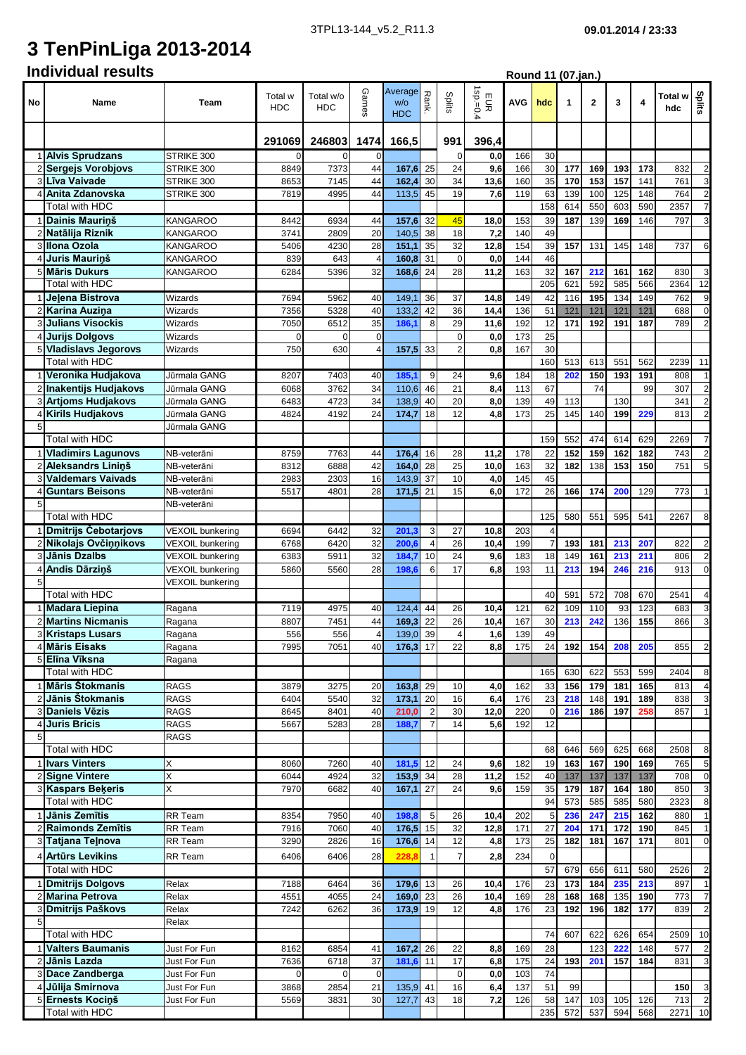**Round 11 (07.jan.)**

# **3 TenPinLiga 2013-2014**

## **Individual results**

| No             | Name                                             | Team                                 | Total w<br><b>HDC</b>    | Total w/o<br><b>HDC</b> | GameS                | Average<br>W/O<br><b>HDC</b> | ᅎ<br>ank.      | Splits            | $sp=0$ .<br>EUR<br>′4 | AVG        | hdc                              | 1         | $\mathbf{2}$ | 3           | 4   | Total w<br>hdc | Splits                  |
|----------------|--------------------------------------------------|--------------------------------------|--------------------------|-------------------------|----------------------|------------------------------|----------------|-------------------|-----------------------|------------|----------------------------------|-----------|--------------|-------------|-----|----------------|-------------------------|
|                |                                                  |                                      | 246803<br>1474<br>291069 |                         | 166,5                |                              | 991            | 396,4             |                       |            |                                  |           |              |             |     |                |                         |
|                | 1 Alvis Sprudzans                                | STRIKE 300                           | 0                        | 0                       | 0                    |                              |                | 0                 | 0,0                   | 166        | 30                               |           |              |             |     |                |                         |
|                | 2 Sergejs Vorobjovs                              | STRIKE 300                           | 8849                     | 7373                    | 44                   | 167,6                        | 25             | 24                | 9,6                   | 166        | 30                               | 177       | 169          | 193         | 173 | 832            | $\overline{2}$          |
|                | 3 Līva Vaivade                                   | STRIKE 300                           | 8653                     | 7145                    | 44                   | 162,4                        | 30             | 34                | 13,6                  | 160        | 35                               | 170       | 153          | 157         | 141 | 761            | 3                       |
| 4              | Anita Zdanovska                                  | STRIKE 300                           | 7819                     | 4995                    | 44                   | 113,5                        | 45             | 19                | 7,6                   | 119        | 63                               | 139       | 100          | 125         | 148 | 764            | $\overline{2}$          |
|                | Total with HDC                                   |                                      |                          |                         |                      |                              |                |                   |                       |            | 158                              | 614       | 550          | 603         | 590 | 2357           | $\overline{7}$          |
|                | 1 Dainis Maurinš                                 | <b>KANGAROO</b>                      | 8442                     | 6934                    | 44                   | 157,6                        | 32             | 45                | 18,0                  | 153        | 39                               | 187       | 139          | 169         | 146 | 797            | 3                       |
|                | 2 Natālija Riznik                                | KANGAROO                             | 3741                     | 2809                    | 20                   | 140,5                        | 38             | 18                | 7,2                   | 140        | 49                               |           |              |             |     |                |                         |
| 4              | 3 Ilona Ozola<br>Juris Maurinš                   | KANGAROO                             | 5406<br>839              | 4230<br>643             | 28<br>$\overline{4}$ | 151,1<br>160,8               | 35<br>31       | 32<br>$\mathbf 0$ | 12,8<br>0,0           | 154<br>144 | 39<br>46                         | 157       | 131          | 145         | 148 | 737            | 6                       |
|                | 5 Māris Dukurs                                   | KANGAROO<br>KANGAROO                 | 6284                     | 5396                    | 32                   | 168,6                        | 24             | 28                | 11,2                  | 163        | 32                               | 167       | 212          | 161         | 162 | 830            | 3                       |
|                | Total with HDC                                   |                                      |                          |                         |                      |                              |                |                   |                       |            | 205                              | 621       | 592          | 585         | 566 | 2364           | 12                      |
|                | 1 Jelena Bistrova                                | Wizards                              | 7694                     | 5962                    | 40                   | 149,1                        | 36             | 37                | 14,8                  | 149        | 42                               | 116       | 195          | 134         | 149 | 762            | 9                       |
|                | 2 Karina Auzina                                  | Wizards                              | 7356                     | 5328                    | 40                   | 133,2                        | 42             | 36                | 14.4                  | 136        | 51                               | 121       | 121          | 121         | 121 | 688            | $\boldsymbol{0}$        |
|                | 3 Julians Visockis                               | Wizards                              | 7050                     | 6512                    | 35                   | 186,1                        | 8              | 29                | 11,6                  | 192        | 12                               | 171       | 192          | 191         | 187 | 789            | $\overline{2}$          |
|                | 4 Jurijs Dolgovs                                 | Wizards                              | $\mathbf 0$              | 0                       | 0                    |                              |                | 0                 | 0,0                   | 173        | 25                               |           |              |             |     |                |                         |
|                | 5 Vladislavs Jegorovs                            | Wizards                              | 750                      | 630                     | $\overline{4}$       | 157,5                        | 33             | 2                 | 0.8                   | 167        | 30                               |           |              |             |     |                |                         |
|                | <b>Total with HDC</b>                            |                                      |                          |                         |                      |                              |                |                   |                       |            | 160                              | 513       | 613          | 551         | 562 | 2239           | 11                      |
|                | Veronika Hudjakova                               | Jūrmala GANG                         | 8207                     | 7403                    | 40                   | 185.                         | 9              | 24                | 9,6                   | 184        | 18                               | 202       | 150          | 193         | 191 | 808            | $\mathbf{1}$            |
|                | 2 Inakentijs Hudjakovs                           | Jūrmala GANG                         | 6068                     | 3762                    | 34                   | 110,6                        | 46             | 21                | 8,4                   | 113        | 67                               |           | 74           |             | 99  | 307            | $\overline{\mathbf{c}}$ |
|                | 3 Artjoms Hudjakovs                              | Jūrmala GANG                         | 6483                     | 4723                    | 34                   | 138,9                        | 40             | 20                | 8,0                   | 139        | 49                               | 113       |              | 130         |     | 341            | $\overline{2}$          |
|                | 4 Kirils Hudjakovs                               | Jūrmala GANG                         | 4824                     | 4192                    | 24                   | 174,7                        | 18             | 12                | 4,8                   | 173        | 25                               | 145       | 140          | 199         | 229 | 813            | $\overline{2}$          |
| 5              |                                                  | Jūrmala GANG                         |                          |                         |                      |                              |                |                   |                       |            |                                  |           |              |             |     |                |                         |
|                | <b>Total with HDC</b>                            |                                      |                          |                         |                      |                              |                |                   |                       |            | 159                              | 552       | 474          | 614         | 629 | 2269           | $\overline{7}$          |
|                | 1 Vladimirs Lagunovs                             | NB-veterāni                          | 8759                     | 7763                    | 44                   | 176,4                        | 16             | 28                | 11,2                  | 178        | 22                               | 152       | 159          | 162         | 182 | 743            | $\overline{2}$          |
|                | Aleksandrs Lininš                                | NB-veterāni                          | 8312                     | 6888                    | 42                   | 164,0                        | 28             | 25                | 10,0                  | 163        | 32                               | 182       | 138          | 153         | 150 | 751            | 5                       |
| 3              | <b>Valdemars Vaivads</b>                         | NB-veterāni                          | 2983                     | 2303                    | 16                   | 143,9                        | 37             | 10                | 4,0                   | 145        | 45                               |           |              |             |     |                |                         |
| $\overline{4}$ | <b>Guntars Beisons</b>                           | NB-veterāni                          | 5517                     | 4801                    | 28                   | 171,5                        | 21             | 15                | 6,0                   | 172        | 26                               | 166       | 174          | 200         | 129 | 773            | $\mathbf{1}$            |
| 5              |                                                  | NB-veterāni                          |                          |                         |                      |                              |                |                   |                       |            |                                  |           |              |             |     |                |                         |
|                | Total with HDC                                   |                                      |                          |                         | 32                   | 201,3                        | 3              | 27                |                       | 203        | 125                              | 580       | 551          | 595         | 541 | 2267           | 8                       |
|                | 1 Dmitrijs Čebotarjovs<br>2 Nikolajs Ovčinnikovs | VEXOIL bunkering<br>VEXOIL bunkering | 6694<br>6768             | 6442<br>6420            | 32                   | 200,                         | $\overline{4}$ | 26                | 10,8<br>10.4          | 199        | $\overline{4}$<br>$\overline{7}$ | 193       | 181          | 213         | 207 | 822            | $\overline{c}$          |
| 3              | Jānis Dzalbs                                     | VEXOIL bunkering                     | 6383                     | 5911                    | 32                   | 184,                         | 10             | 24                | 9,6                   | 183        | 18                               | 149       | 161          | 213         | 211 | 806            | $\overline{c}$          |
| 4              | Andis Dārziņš                                    | VEXOIL bunkering                     | 5860                     | 5560                    | 28                   | 198,6                        | 6              | 17                | 6,8                   | 193        | 11                               | 213       | 194          | 246         | 216 | 913            | $\mathbf 0$             |
| 5              |                                                  | VEXOIL bunkering                     |                          |                         |                      |                              |                |                   |                       |            |                                  |           |              |             |     |                |                         |
|                | Total with HDC                                   |                                      |                          |                         |                      |                              |                |                   |                       |            | 40                               | 591       | 572          | 708         | 670 | 2541           | 4                       |
|                | 1 Madara Liepina                                 | Ragana                               | 7119                     | 4975                    | 40                   | 124,4                        | 44             | 26                | 10,4                  | 121        | 62                               | 109       | 110          | 93          | 123 | 683            | 3                       |
|                | 2 Martins Nicmanis                               | Ragana                               | 8807                     | 7451                    | 44                   | 169,3                        | 22             | 26                | 10,4                  | 167        | 30                               | 213       | 242          | 136         | 155 | 866            | 3                       |
|                | 3 Kristaps Lusars                                | Ragana                               | 556                      | 556                     | $\overline{4}$       | 139,0                        | 39             | $\overline{4}$    | 1,6                   | 139        | 49                               |           |              |             |     |                |                         |
|                | 4 Māris Eisaks                                   | Ragana                               | 7995                     | 7051                    | 40                   | 176.3                        | 17             | 22                | 8.8                   | 175        | 24                               | 192       | 154          | 208         | 205 | 855            | $\overline{2}$          |
|                | 5 Elina Viksna                                   | Ragana                               |                          |                         |                      |                              |                |                   |                       |            |                                  |           |              |             |     |                |                         |
|                | <b>Total with HDC</b>                            |                                      |                          |                         |                      |                              |                |                   |                       |            | 165                              | 630       | 622          | 553         | 599 | 2404           | 8                       |
|                | 1 Māris Štokmanis                                | <b>RAGS</b>                          | 3879                     | 3275                    | 20                   | 163,8 29                     |                | 10                | 4,0                   | 162        | 33                               | 156       | 179          | 181         | 165 | 813            | $\overline{a}$          |
|                | 2 Jānis Štokmanis                                | <b>RAGS</b>                          | 6404                     | 5540                    | 32                   | 173,1                        | 20             | 16                | 6,4                   | 176        | 23                               | 218       | 148          | 191         | 189 | 838            | 3                       |
|                | 3 Daniels Vēzis                                  | RAGS                                 | 8645                     | 8401                    | 40                   | 210,0                        | $\overline{2}$ | 30                | 12,0                  | 220        | $\mathbf 0$                      | 216       | 186          | 197         | 258 | 857            | $\overline{1}$          |
| 5 <sup>5</sup> | 4 Juris Bricis                                   | <b>RAGS</b><br>RAGS                  | 5667                     | 5283                    | 28                   | 188,                         | $\overline{7}$ | 14                | 5,6                   | 192        | 12                               |           |              |             |     |                |                         |
|                | Total with HDC                                   |                                      |                          |                         |                      |                              |                |                   |                       |            | 68                               | 646       | 569          | 625         | 668 | 2508           | 8                       |
|                | 1 <b>Ivars Vinters</b>                           | Χ                                    | 8060                     | 7260                    | 40                   | 181,5                        | 12             | 24                | 9,6                   | 182        | 19                               | 163       | 167          | 190         | 169 | 765            | 5                       |
|                | 2 Signe Vintere                                  | Χ                                    | 6044                     | 4924                    | 32                   | 153,9 34                     |                | 28                | 11,2                  | 152        | 40                               | 137       | 137          | 137         | 137 | 708            | $\pmb{0}$               |
|                | 3 Kaspars Bekeris                                | Χ                                    | 7970                     | 6682                    | 40                   | 167,1                        | 27             | 24                | 9,6                   | 159        | 35                               | 179       | 187          | 164         | 180 | 850            | 3                       |
|                | Total with HDC                                   |                                      |                          |                         |                      |                              |                |                   |                       |            | 94                               | 573       | 585          | 585         | 580 | 2323           | 8                       |
|                | 1 Jānis Zemītis                                  | RR Team                              | 8354                     | 7950                    | 40                   | 198,8                        | 5              | 26                | 10,4                  | 202        | 5                                | 236       | 247          | 215         | 162 | 880            | $\overline{1}$          |
|                | 2 Raimonds Zemītis                               | RR Team                              | 7916                     | 7060                    | 40                   | 176,5 15                     |                | 32                | 12,8                  | 171        | 27                               | 204       | 171          | 172         | 190 | 845            | $\mathbf{1}$            |
|                | 3 Tatjana Tejnova                                | RR Team                              | 3290                     | 2826                    | 16                   | $176,6$ 14                   |                | 12                | 4,8                   | 173        | 25                               | 182       | 181          | 167         | 171 | 801            | $\pmb{0}$               |
|                | 4 Artūrs Levikins                                | RR Team                              | 6406                     | 6406                    | 28                   | 228,8                        | $\overline{1}$ | $\overline{7}$    | 2,8                   | 234        | $\mathbf 0$                      |           |              |             |     |                |                         |
|                | Total with HDC                                   |                                      |                          |                         |                      |                              |                |                   |                       |            | 57                               | 679       | 656          | 611         | 580 | 2526           | $\overline{2}$          |
|                | 1 Dmitrijs Dolgovs                               | Relax                                | 7188                     | 6464                    | 36                   | 179,6 13                     |                | 26                | 10,4                  | 176        | 23                               | 173       | 184          | 235         | 213 | 897            | $\overline{1}$          |
|                | 2 Marina Petrova                                 | Relax                                | 4551                     | 4055                    | 24                   | 169,0 23                     |                | 26                | 10,4                  | 169        | 28                               | 168       | 168          | 135         | 190 | 773            | $\overline{7}$          |
|                | 3 Dmitrijs Paškovs                               | Relax                                | 7242                     | 6262                    | 36                   | 173,9                        | 19             | 12                | 4,8                   | 176        | 23                               | 192       | 196          | 182         | 177 | 839            | $\overline{\mathbf{c}}$ |
| 5              |                                                  | Relax                                |                          |                         |                      |                              |                |                   |                       |            |                                  |           |              |             |     |                |                         |
|                | Total with HDC                                   |                                      |                          |                         |                      |                              |                |                   |                       |            | 74                               | 607       | 622          | 626         | 654 | 2509           | 10                      |
|                | 1 Valters Baumanis                               | Just For Fun                         | 8162                     | 6854                    | 41                   | $167,2$ 26                   |                | 22                | 8,8                   | 169        | 28                               |           | 123          | 222         | 148 | 577            | $\overline{\mathbf{c}}$ |
|                | Jānis Lazda                                      | Just For Fun                         | 7636                     | 6718                    | 37                   | 181,6                        | 11             | 17                | 6,8                   | 175        | 24                               | 193       | 201          | 157         | 184 | 831            | 3                       |
|                | 3 Dace Zandberga<br>4 Jūlija Smirnova            | Just For Fun                         | $\overline{0}$           | 0                       | $\mathbf 0$          |                              |                | $\mathbf 0$       | 0,0                   | 103        | 74                               |           |              |             |     |                | $\overline{3}$          |
|                | 5 Ernests Kociņš                                 | Just For Fun<br>Just For Fun         | 3868<br>5569             | 2854                    | 21<br>30             | 135,9 41                     | 43             | 16<br>18          | 6,4                   | 137<br>126 | 51<br>58                         | 99<br>147 | 103          | 105         | 126 | 150<br>713     | $\overline{2}$          |
|                | Total with HDC                                   |                                      |                          | 3831                    |                      | 127,7                        |                |                   | 7,2                   |            | 235                              | 572       |              | 537 594 568 |     | 2271           | 10                      |